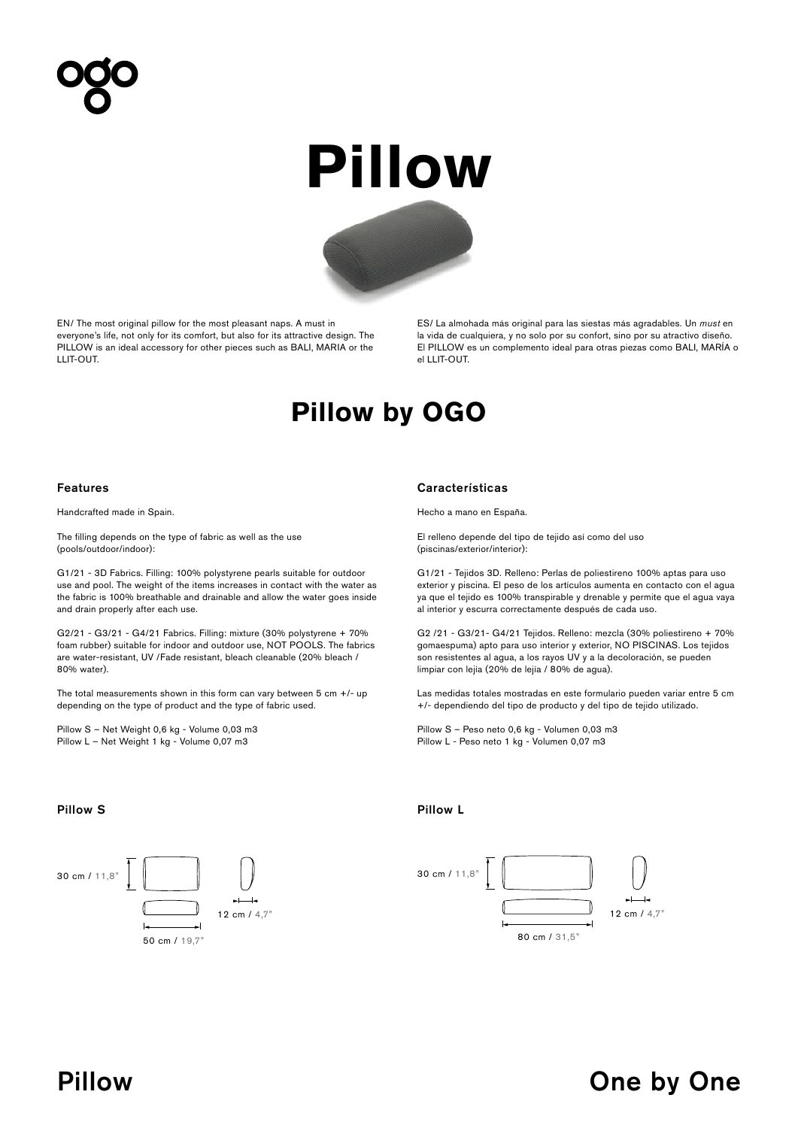# **Pillow**



EN/ The most original pillow for the most pleasant naps. A must in everyone's life, not only for its comfort, but also for its attractive design. The PILLOW is an ideal accessory for other pieces such as BALI, MARIA or the LLIT-OUT.

ES/ La almohada más original para las siestas más agradables. Un *must* en la vida de cualquiera, y no solo por su confort, sino por su atractivo diseño. El PILLOW es un complemento ideal para otras piezas como BALI, MARÍA o el LLIT-OUT.

## **Pillow by OGO**

Handcrafted made in Spain.

The filling depends on the type of fabric as well as the use (pools/outdoor/indoor):

G1/21 - 3D Fabrics. Filling: 100% polystyrene pearls suitable for outdoor use and pool. The weight of the items increases in contact with the water as the fabric is 100% breathable and drainable and allow the water goes inside and drain properly after each use.

G2/21 - G3/21 - G4/21 Fabrics. Filling: mixture (30% polystyrene + 70% foam rubber) suitable for indoor and outdoor use, NOT POOLS. The fabrics are water-resistant, UV /Fade resistant, bleach cleanable (20% bleach / 80% water).

The total measurements shown in this form can vary between  $5$  cm  $+/$ - up depending on the type of product and the type of fabric used.

Pillow S – Net Weight 0,6 kg - Volume 0,03 m3 Pillow L – Net Weight 1 kg - Volume 0,07 m3

## Features Características

Hecho a mano en España.

El relleno depende del tipo de tejido así como del uso (piscinas/exterior/interior):

G1/21 - Tejidos 3D. Relleno: Perlas de poliestireno 100% aptas para uso exterior y piscina. El peso de los artículos aumenta en contacto con el agua ya que el tejido es 100% transpirable y drenable y permite que el agua vaya al interior y escurra correctamente después de cada uso.

G2 /21 - G3/21- G4/21 Tejidos. Relleno: mezcla (30% poliestireno + 70% gomaespuma) apto para uso interior y exterior, NO PISCINAS. Los tejidos son resistentes al agua, a los rayos UV y a la decoloración, se pueden limpiar con lejía (20% de lejía / 80% de agua).

Las medidas totales mostradas en este formulario pueden variar entre 5 cm +/- dependiendo del tipo de producto y del tipo de tejido utilizado.

Pillow S – Peso neto 0,6 kg - Volumen 0,03 m3 Pillow L - Peso neto 1 kg - Volumen 0,07 m3

## Pillow S **Pillow S** Pillow L





# Pillow **One by One by One by One by One by One**